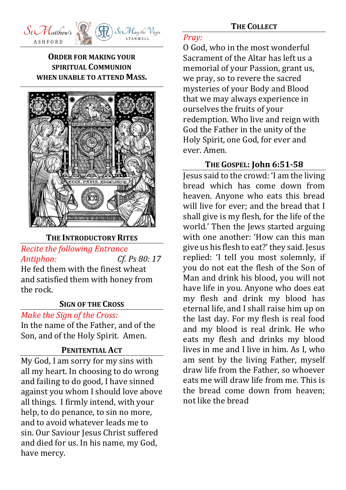

### **ORDER FOR MAKING YOUR SPIRITUAL COMMUNION WHEN UNABLE TO ATTEND MASS.**



#### **THE INTRODUCTORY RITES**

### *Recite the following Entrance Antiphon: Cf. Ps 80: 17*

He fed them with the finest wheat and satisfied them with honey from the rock.

#### **SIGN OF THE CROSS**

*Make the Sign of the Cross:*

In the name of the Father, and of the Son, and of the Holy Spirit. Amen.

#### **PENITENTIAL ACT**

My God, I am sorry for my sins with all my heart. In choosing to do wrong and failing to do good, I have sinned against you whom I should love above all things. I firmly intend, with your help, to do penance, to sin no more, and to avoid whatever leads me to sin. Our Saviour Jesus Christ suffered and died for us. In his name, my God, have mercy.

#### **THE COLLECT**

#### *Pray:*

O God, who in the most wonderful Sacrament of the Altar has left us a memorial of your Passion, grant us, we pray, so to revere the sacred mysteries of your Body and Blood that we may always experience in ourselves the fruits of your redemption. Who live and reign with God the Father in the unity of the Holy Spirit, one God, for ever and ever. Amen.

#### **THE GOSPEL: John 6:51-58**

Jesus said to the crowd: 'I am the living bread which has come down from heaven. Anyone who eats this bread will live for ever; and the bread that I shall give is my flesh, for the life of the world.' Then the Jews started arguing with one another: 'How can this man give us his flesh to eat?' they said. Jesus replied: 'I tell you most solemnly, if you do not eat the flesh of the Son of Man and drink his blood, you will not have life in you. Anyone who does eat my flesh and drink my blood has eternal life, and I shall raise him up on the last day. For my flesh is real food and my blood is real drink. He who eats my flesh and drinks my blood lives in me and I live in him. As I, who am sent by the living Father, myself draw life from the Father, so whoever eats me will draw life from me. This is the bread come down from heaven; not like the bread